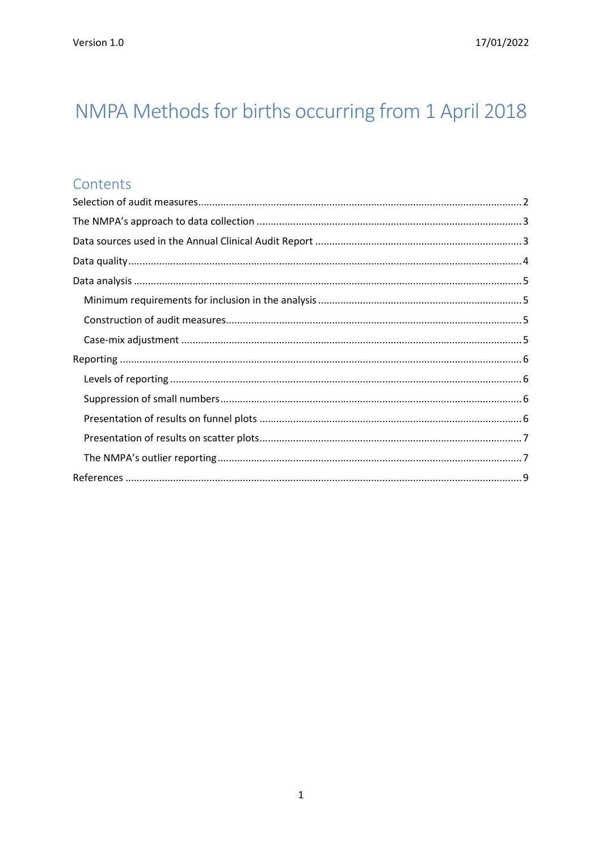# NMPA Methods for births occurring from 1 April 2018

### Contents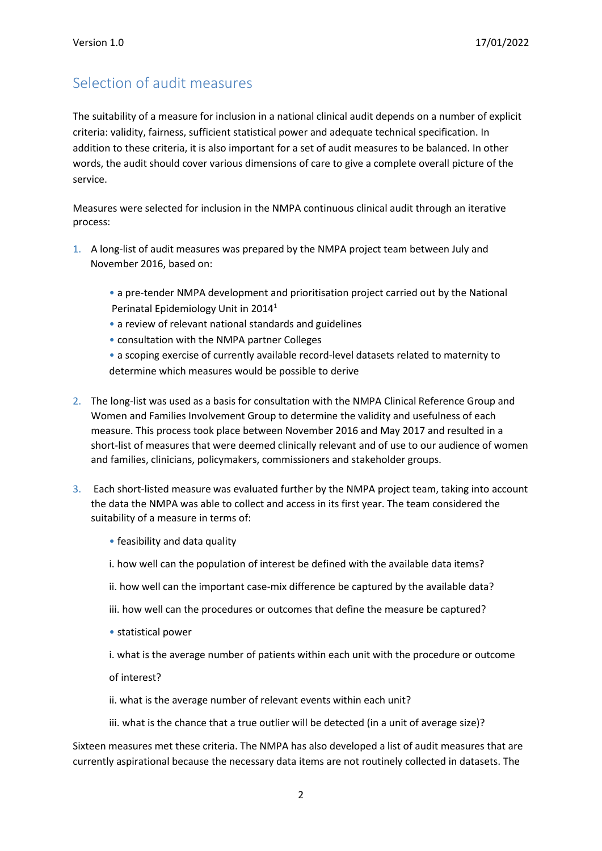### <span id="page-1-0"></span>Selection of audit measures

The suitability of a measure for inclusion in a national clinical audit depends on a number of explicit criteria: validity, fairness, sufficient statistical power and adequate technical specification. In addition to these criteria, it is also important for a set of audit measures to be balanced. In other words, the audit should cover various dimensions of care to give a complete overall picture of the service.

Measures were selected for inclusion in the NMPA continuous clinical audit through an iterative process:

- 1. A long-list of audit measures was prepared by the NMPA project team between July and November 2016, based on:
	- a pre-tender NMPA development and prioritisation project carried out by the National Perinatal Epidemiology Unit in 2014<sup>1</sup>
	- a review of relevant national standards and guidelines
	- consultation with the NMPA partner Colleges
	- a scoping exercise of currently available record-level datasets related to maternity to determine which measures would be possible to derive
- 2. The long-list was used as a basis for consultation with the NMPA Clinical Reference Group and Women and Families Involvement Group to determine the validity and usefulness of each measure. This process took place between November 2016 and May 2017 and resulted in a short-list of measures that were deemed clinically relevant and of use to our audience of women and families, clinicians, policymakers, commissioners and stakeholder groups.
- 3. Each short-listed measure was evaluated further by the NMPA project team, taking into account the data the NMPA was able to collect and access in its first year. The team considered the suitability of a measure in terms of:
	- feasibility and data quality
	- i. how well can the population of interest be defined with the available data items?
	- ii. how well can the important case-mix difference be captured by the available data?
	- iii. how well can the procedures or outcomes that define the measure be captured?
	- statistical power
	- i. what is the average number of patients within each unit with the procedure or outcome

of interest?

- ii. what is the average number of relevant events within each unit?
- iii. what is the chance that a true outlier will be detected (in a unit of average size)?

Sixteen measures met these criteria. The NMPA has also developed a list of audit measures that are currently aspirational because the necessary data items are not routinely collected in datasets. The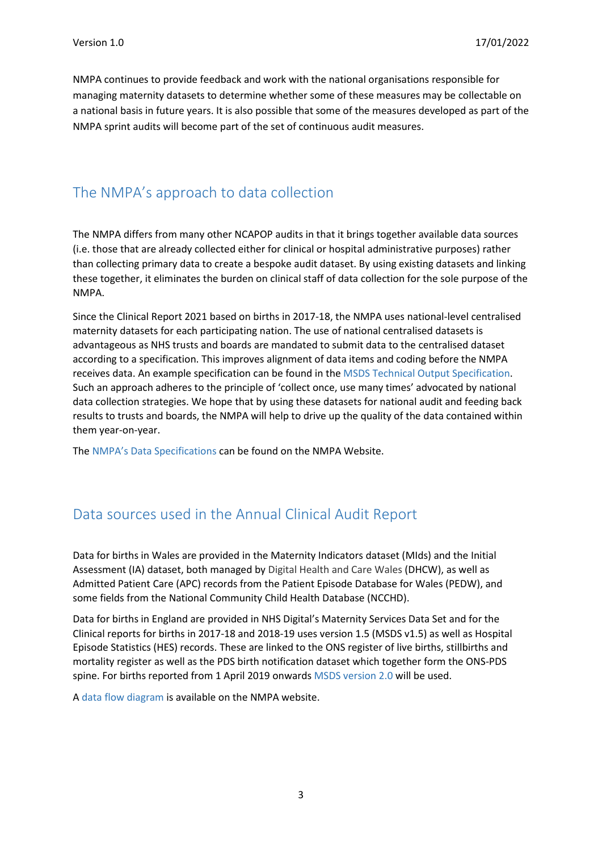NMPA continues to provide feedback and work with the national organisations responsible for managing maternity datasets to determine whether some of these measures may be collectable on a national basis in future years. It is also possible that some of the measures developed as part of the NMPA sprint audits will become part of the set of continuous audit measures.

### <span id="page-2-0"></span>The NMPA's approach to data collection

The NMPA differs from many other NCAPOP audits in that it brings together available data sources (i.e. those that are already collected either for clinical or hospital administrative purposes) rather than collecting primary data to create a bespoke audit dataset. By using existing datasets and linking these together, it eliminates the burden on clinical staff of data collection for the sole purpose of the NMPA.

Since the Clinical Report 2021 based on births in 2017-18, the NMPA uses national-level centralised maternity datasets for each participating nation. The use of national centralised datasets is advantageous as NHS trusts and boards are mandated to submit data to the centralised dataset according to a specification. This improves alignment of data items and coding before the NMPA receives data. An example specification can be found in the [MSDS Technical Output Specification.](https://digital.nhs.uk/data-and-information/data-collections-and-data-sets/data-sets/maternity-services-data-set/archived-guidance-documents) Such an approach adheres to the principle of 'collect once, use many times' advocated by national data collection strategies. We hope that by using these datasets for national audit and feeding back results to trusts and boards, the NMPA will help to drive up the quality of the data contained within them year-on-year.

The NMPA's Data [Specifications](https://maternityaudit.org.uk/pages/resources) can be found on the NMPA Website.

### <span id="page-2-1"></span>Data sources used in the Annual Clinical Audit Report

Data for births in Wales are provided in the Maternity Indicators dataset (MIds) and the Initial Assessment (IA) dataset, both managed by Digital Health and Care Wales (DHCW), as well as Admitted Patient Care (APC) records from the Patient Episode Database for Wales (PEDW), and some fields from the National Community Child Health Database (NCCHD).

Data for births in England are provided in NHS Digital's Maternity Services Data Set and for the Clinical reports for births in 2017-18 and 2018-19 uses version 1.5 (MSDS v1.5) as well as Hospital Episode Statistics (HES) records. These are linked to the ONS register of live births, stillbirths and mortality register as well as the PDS birth notification dataset which together form the ONS-PDS spine. For births reported from 1 April 2019 onwards [MSDS version 2.0](https://digital.nhs.uk/data-and-information/information-standards/information-standards-and-data-collections-including-extractions/publications-and-notifications/standards-and-collections/dcb1513-maternity-services-data-set) will be used.

A [data flow diagram](https://maternityaudit.org.uk/pages/resources) is available on the NMPA website.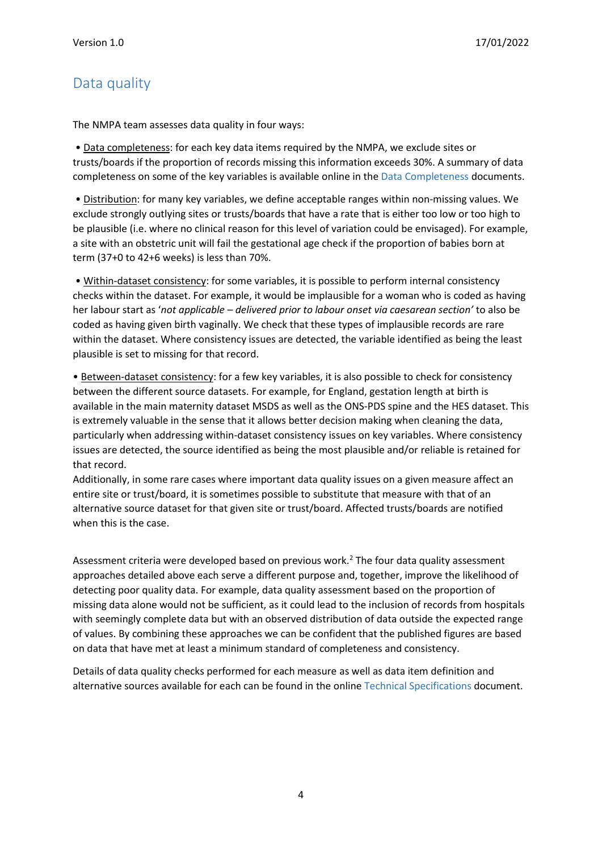## <span id="page-3-0"></span>Data quality

The NMPA team assesses data quality in four ways:

• Data completeness: for each key data items required by the NMPA, we exclude sites or trusts/boards if the proportion of records missing this information exceeds 30%. A summary of data completeness on some of the key variables is available online in the [Data Completeness](https://maternityaudit.org.uk/pages/resources) documents.

• Distribution: for many key variables, we define acceptable ranges within non-missing values. We exclude strongly outlying sites or trusts/boards that have a rate that is either too low or too high to be plausible (i.e. where no clinical reason for this level of variation could be envisaged). For example, a site with an obstetric unit will fail the gestational age check if the proportion of babies born at term (37+0 to 42+6 weeks) is less than 70%.

• Within-dataset consistency: for some variables, it is possible to perform internal consistency checks within the dataset. For example, it would be implausible for a woman who is coded as having her labour start as '*not applicable – delivered prior to labour onset via caesarean section'* to also be coded as having given birth vaginally. We check that these types of implausible records are rare within the dataset. Where consistency issues are detected, the variable identified as being the least plausible is set to missing for that record.

• Between-dataset consistency: for a few key variables, it is also possible to check for consistency between the different source datasets. For example, for England, gestation length at birth is available in the main maternity dataset MSDS as well as the ONS-PDS spine and the HES dataset. This is extremely valuable in the sense that it allows better decision making when cleaning the data, particularly when addressing within-dataset consistency issues on key variables. Where consistency issues are detected, the source identified as being the most plausible and/or reliable is retained for that record.

Additionally, in some rare cases where important data quality issues on a given measure affect an entire site or trust/board, it is sometimes possible to substitute that measure with that of an alternative source dataset for that given site or trust/board. Affected trusts/boards are notified when this is the case.

Assessment criteria were developed based on previous work.<sup>2</sup> The four data quality assessment approaches detailed above each serve a different purpose and, together, improve the likelihood of detecting poor quality data. For example, data quality assessment based on the proportion of missing data alone would not be sufficient, as it could lead to the inclusion of records from hospitals with seemingly complete data but with an observed distribution of data outside the expected range of values. By combining these approaches we can be confident that the published figures are based on data that have met at least a minimum standard of completeness and consistency.

Details of data quality checks performed for each measure as well as data item definition and alternative sources available for each can be found in the online [Technical Specifications](https://maternityaudit.org.uk/FilesUploaded/NMPA%20Measures%20Technical%20Specs%20-%20from%201%20April%202018.pdf) document.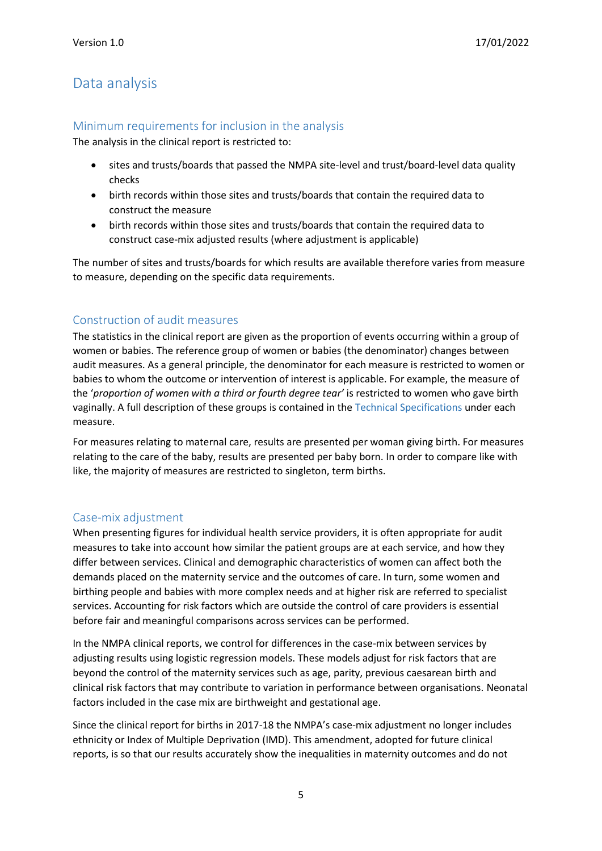### <span id="page-4-0"></span>Data analysis

#### <span id="page-4-1"></span>Minimum requirements for inclusion in the analysis

The analysis in the clinical report is restricted to:

- sites and trusts/boards that passed the NMPA site-level and trust/board-level data quality checks
- birth records within those sites and trusts/boards that contain the required data to construct the measure
- birth records within those sites and trusts/boards that contain the required data to construct case-mix adjusted results (where adjustment is applicable)

The number of sites and trusts/boards for which results are available therefore varies from measure to measure, depending on the specific data requirements.

#### <span id="page-4-2"></span>Construction of audit measures

The statistics in the clinical report are given as the proportion of events occurring within a group of women or babies. The reference group of women or babies (the denominator) changes between audit measures. As a general principle, the denominator for each measure is restricted to women or babies to whom the outcome or intervention of interest is applicable. For example, the measure of the '*proportion of women with a third or fourth degree tear'* is restricted to women who gave birth vaginally. A full description of these groups is contained in the [Technical Specifications](https://maternityaudit.org.uk/FilesUploaded/NMPA%20Measures%20Technical%20Specs%20-%20from%201%20April%202018.pdf) under each measure.

For measures relating to maternal care, results are presented per woman giving birth. For measures relating to the care of the baby, results are presented per baby born. In order to compare like with like, the majority of measures are restricted to singleton, term births.

#### <span id="page-4-3"></span>Case-mix adjustment

When presenting figures for individual health service providers, it is often appropriate for audit measures to take into account how similar the patient groups are at each service, and how they differ between services. Clinical and demographic characteristics of women can affect both the demands placed on the maternity service and the outcomes of care. In turn, some women and birthing people and babies with more complex needs and at higher risk are referred to specialist services. Accounting for risk factors which are outside the control of care providers is essential before fair and meaningful comparisons across services can be performed.

In the NMPA clinical reports, we control for differences in the case-mix between services by adjusting results using logistic regression models. These models adjust for risk factors that are beyond the control of the maternity services such as age, parity, previous caesarean birth and clinical risk factors that may contribute to variation in performance between organisations. Neonatal factors included in the case mix are birthweight and gestational age.

Since the clinical report for births in 2017-18 the NMPA's case-mix adjustment no longer includes ethnicity or Index of Multiple Deprivation (IMD). This amendment, adopted for future clinical reports, is so that our results accurately show the inequalities in maternity outcomes and do not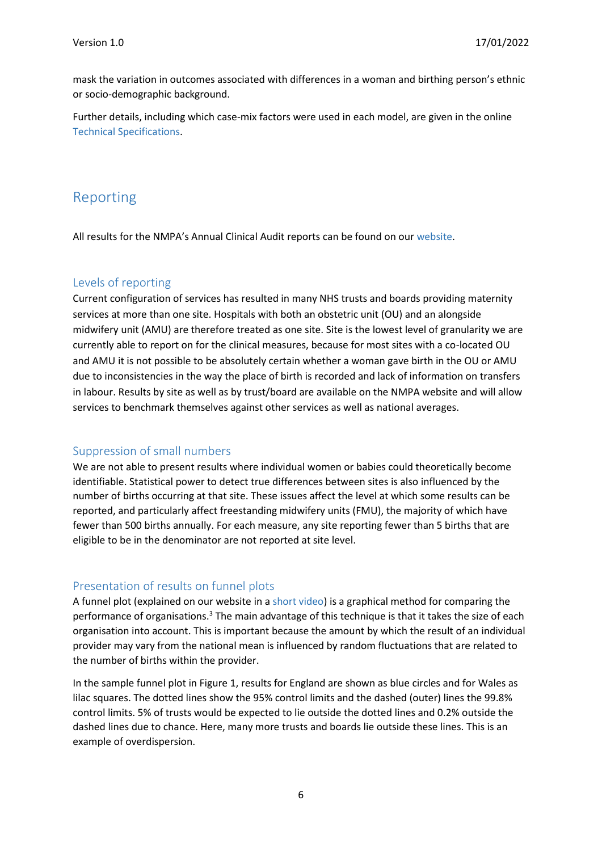mask the variation in outcomes associated with differences in a woman and birthing person's ethnic or socio-demographic background.

Further details, including which case-mix factors were used in each model, are given in the online [Technical Specifications.](https://maternityaudit.org.uk/FilesUploaded/NMPA%20Measures%20Technical%20Specs%20-%20from%201%20April%202018.pdf)

### <span id="page-5-0"></span>Reporting

All results for the NMPA's Annual Clinical Audit reports can be found on our [website.](https://maternityaudit.org.uk/pages/home)

#### <span id="page-5-1"></span>Levels of reporting

Current configuration of services has resulted in many NHS trusts and boards providing maternity services at more than one site. Hospitals with both an obstetric unit (OU) and an alongside midwifery unit (AMU) are therefore treated as one site. Site is the lowest level of granularity we are currently able to report on for the clinical measures, because for most sites with a co-located OU and AMU it is not possible to be absolutely certain whether a woman gave birth in the OU or AMU due to inconsistencies in the way the place of birth is recorded and lack of information on transfers in labour. Results by site as well as by trust/board are available on the NMPA website and will allow services to benchmark themselves against other services as well as national averages.

#### <span id="page-5-2"></span>Suppression of small numbers

We are not able to present results where individual women or babies could theoretically become identifiable. Statistical power to detect true differences between sites is also influenced by the number of births occurring at that site. These issues affect the level at which some results can be reported, and particularly affect freestanding midwifery units (FMU), the majority of which have fewer than 500 births annually. For each measure, any site reporting fewer than 5 births that are eligible to be in the denominator are not reported at site level.

#### <span id="page-5-3"></span>Presentation of results on funnel plots

A funnel plot (explained on our website in a [short video\)](https://maternityaudit.org.uk/pages/resources) is a graphical method for comparing the performance of organisations.<sup>3</sup> The main advantage of this technique is that it takes the size of each organisation into account. This is important because the amount by which the result of an individual provider may vary from the national mean is influenced by random fluctuations that are related to the number of births within the provider.

In the sample funnel plot in Figure 1, results for England are shown as blue circles and for Wales as lilac squares. The dotted lines show the 95% control limits and the dashed (outer) lines the 99.8% control limits. 5% of trusts would be expected to lie outside the dotted lines and 0.2% outside the dashed lines due to chance. Here, many more trusts and boards lie outside these lines. This is an example of overdispersion.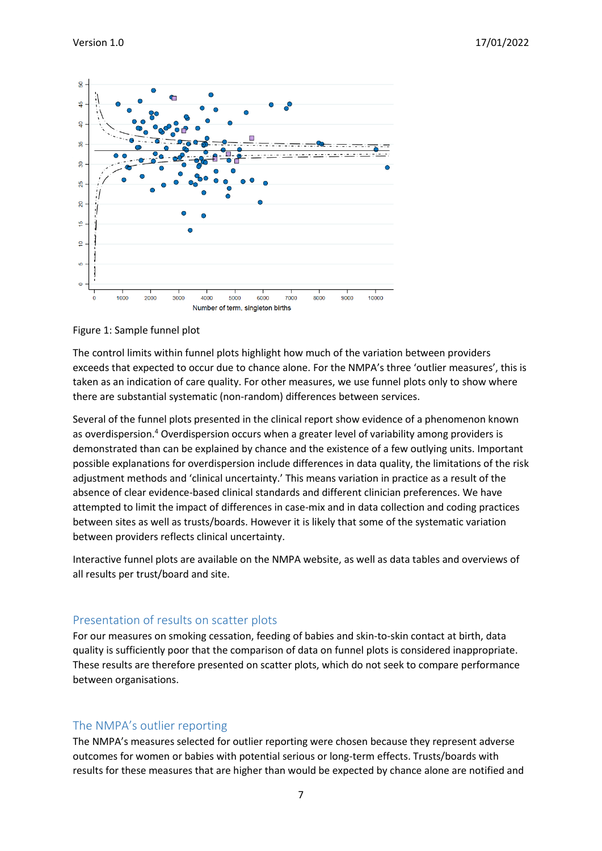

Figure 1: Sample funnel plot

The control limits within funnel plots highlight how much of the variation between providers exceeds that expected to occur due to chance alone. For the NMPA's three 'outlier measures', this is taken as an indication of care quality. For other measures, we use funnel plots only to show where there are substantial systematic (non-random) differences between services.

Several of the funnel plots presented in the clinical report show evidence of a phenomenon known as overdispersion.<sup>4</sup> Overdispersion occurs when a greater level of variability among providers is demonstrated than can be explained by chance and the existence of a few outlying units. Important possible explanations for overdispersion include differences in data quality, the limitations of the risk adjustment methods and 'clinical uncertainty.' This means variation in practice as a result of the absence of clear evidence-based clinical standards and different clinician preferences. We have attempted to limit the impact of differences in case-mix and in data collection and coding practices between sites as well as trusts/boards. However it is likely that some of the systematic variation between providers reflects clinical uncertainty.

Interactive funnel plots are available on the NMPA website, as well as data tables and overviews of all results per trust/board and site.

#### <span id="page-6-0"></span>Presentation of results on scatter plots

For our measures on smoking cessation, feeding of babies and skin-to-skin contact at birth, data quality is sufficiently poor that the comparison of data on funnel plots is considered inappropriate. These results are therefore presented on scatter plots, which do not seek to compare performance between organisations.

#### <span id="page-6-1"></span>The NMPA's outlier reporting

The NMPA's measures selected for outlier reporting were chosen because they represent adverse outcomes for women or babies with potential serious or long-term effects. Trusts/boards with results for these measures that are higher than would be expected by chance alone are notified and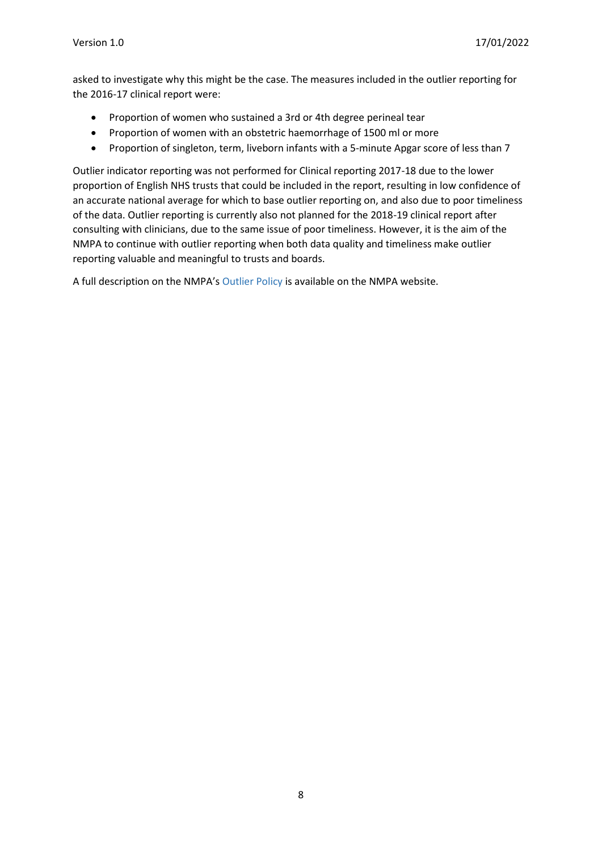asked to investigate why this might be the case. The measures included in the outlier reporting for the 2016-17 clinical report were:

- Proportion of women who sustained a 3rd or 4th degree perineal tear
- Proportion of women with an obstetric haemorrhage of 1500 ml or more
- Proportion of singleton, term, liveborn infants with a 5-minute Apgar score of less than 7

Outlier indicator reporting was not performed for Clinical reporting 2017-18 due to the lower proportion of English NHS trusts that could be included in the report, resulting in low confidence of an accurate national average for which to base outlier reporting on, and also due to poor timeliness of the data. Outlier reporting is currently also not planned for the 2018-19 clinical report after consulting with clinicians, due to the same issue of poor timeliness. However, it is the aim of the NMPA to continue with outlier reporting when both data quality and timeliness make outlier reporting valuable and meaningful to trusts and boards.

A full description on the NMPA's [Outlier Policy](https://maternityaudit.org.uk/FilesUploaded/NMPA%20Outlier%20Policy%20and%20Cause%20for%20Concern%20-%20December%202019.pdf) is available on the NMPA website.